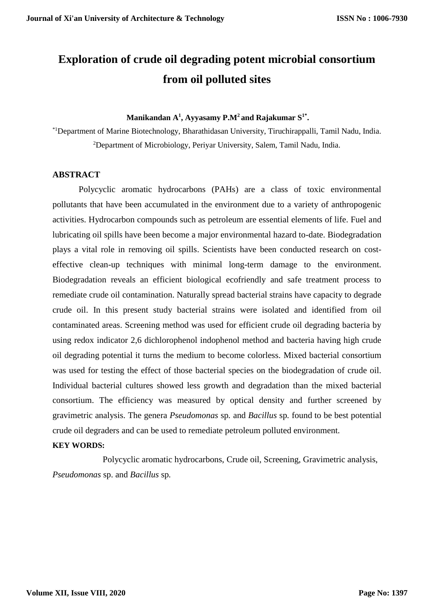# **Exploration of crude oil degrading potent microbial consortium from oil polluted sites**

#### **Manikandan A<sup>1</sup> , Ayyasamy P.M<sup>2</sup> and Rajakumar S1\* .**

\*1Department of Marine Biotechnology, Bharathidasan University, Tiruchirappalli, Tamil Nadu, India. <sup>2</sup>Department of Microbiology, Periyar University, Salem, Tamil Nadu, India.

#### **ABSTRACT**

Polycyclic aromatic hydrocarbons (PAHs) are a class of toxic environmental pollutants that have been accumulated in the environment due to a variety of anthropogenic activities. Hydrocarbon compounds such as petroleum are essential elements of life. Fuel and lubricating oil spills have been become a major environmental hazard to-date. Biodegradation plays a vital role in removing oil spills. Scientists have been conducted research on costeffective clean-up techniques with minimal long-term damage to the environment. Biodegradation reveals an efficient biological ecofriendly and safe treatment process to remediate crude oil contamination. Naturally spread bacterial strains have capacity to degrade crude oil. In this present study bacterial strains were isolated and identified from oil contaminated areas. Screening method was used for efficient crude oil degrading bacteria by using redox indicator 2,6 dichlorophenol indophenol method and bacteria having high crude oil degrading potential it turns the medium to become colorless. Mixed bacterial consortium was used for testing the effect of those bacterial species on the biodegradation of crude oil. Individual bacterial cultures showed less growth and degradation than the mixed bacterial consortium. The efficiency was measured by optical density and further screened by gravimetric analysis. The genera *Pseudomonas* sp*.* and *Bacillus* sp*.* found to be best potential crude oil degraders and can be used to remediate petroleum polluted environment.

#### **KEY WORDS:**

 Polycyclic aromatic hydrocarbons, Crude oil, Screening, Gravimetric analysis, *Pseudomonas* sp. and *Bacillus* sp*.*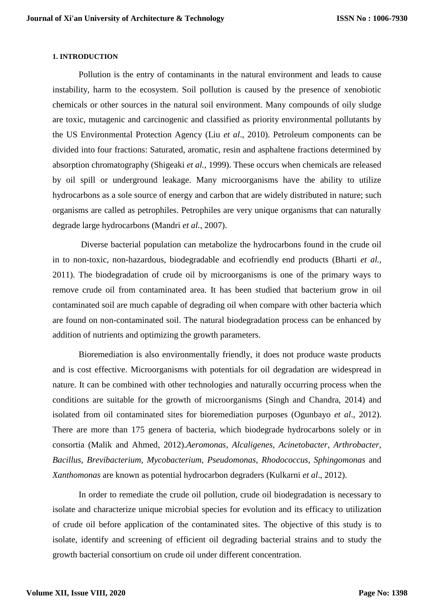#### **1. INTRODUCTION**

Pollution is the entry of contaminants in the natural environment and leads to cause instability, harm to the ecosystem. Soil pollution is caused by the presence of xenobiotic chemicals or other sources in the natural soil environment. Many compounds of oily sludge are toxic, mutagenic and carcinogenic and classified as priority environmental pollutants by the US Environmental Protection Agency (Liu *et al*., 2010). Petroleum components can be divided into four fractions: Saturated, aromatic, resin and asphaltene fractions determined by absorption chromatography (Shigeaki *et al.,* 1999). These occurs when chemicals are released by oil spill or underground leakage. Many microorganisms have the ability to utilize hydrocarbons as a sole source of energy and carbon that are widely distributed in nature; such organisms are called as petrophiles. Petrophiles are very unique organisms that can naturally degrade large hydrocarbons (Mandri *et al.*, 2007).

Diverse bacterial population can metabolize the hydrocarbons found in the crude oil in to non-toxic, non-hazardous, biodegradable and ecofriendly end products (Bharti *et al.,*  2011). The biodegradation of crude oil by microorganisms is one of the primary ways to remove crude oil from contaminated area. It has been studied that bacterium grow in oil contaminated soil are much capable of degrading oil when compare with other bacteria which are found on non-contaminated soil. The natural biodegradation process can be enhanced by addition of nutrients and optimizing the growth parameters.

Bioremediation is also environmentally friendly, it does not produce waste products and is cost effective. Microorganisms with potentials for oil degradation are widespread in nature. It can be combined with other technologies and naturally occurring process when the conditions are suitable for the growth of microorganisms (Singh and Chandra, 2014) and isolated from oil contaminated sites for bioremediation purposes (Ogunbayo *et al*., 2012). There are more than 175 genera of bacteria, which biodegrade hydrocarbons solely or in consortia (Malik and Ahmed, 2012).*Aeromonas*, *Alcaligenes*, *Acinetobacter*, *Arthrobacter, Bacillus*, *Brevibacterium*, *Mycobacterium, Pseudomonas*, *Rhodococcus*, *Sphingomonas* and *Xanthomonas* are known as potential hydrocarbon degraders (Kulkarni *et al*., 2012).

In order to remediate the crude oil pollution, crude oil biodegradation is necessary to isolate and characterize unique microbial species for evolution and its efficacy to utilization of crude oil before application of the contaminated sites. The objective of this study is to isolate, identify and screening of efficient oil degrading bacterial strains and to study the growth bacterial consortium on crude oil under different concentration.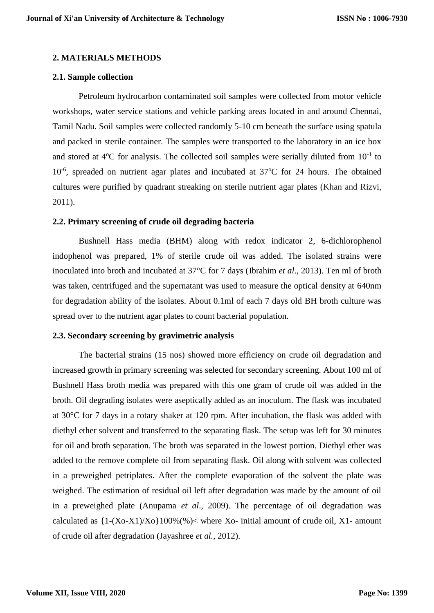#### **2. MATERIALS METHODS**

#### **2.1. Sample collection**

Petroleum hydrocarbon contaminated soil samples were collected from motor vehicle workshops, water service stations and vehicle parking areas located in and around Chennai, Tamil Nadu. Soil samples were collected randomly 5-10 cm beneath the surface using spatula and packed in sterile container. The samples were transported to the laboratory in an ice box and stored at  $4^{\circ}$ C for analysis. The collected soil samples were serially diluted from  $10^{-1}$  to 10<sup>-6</sup>, spreaded on nutrient agar plates and incubated at 37°C for 24 hours. The obtained cultures were purified by quadrant streaking on sterile nutrient agar plates (Khan and Rizvi, 2011).

#### **2.2. Primary screening of crude oil degrading bacteria**

Bushnell Hass media (BHM) along with redox indicator 2, 6-dichlorophenol indophenol was prepared, 1% of sterile crude oil was added. The isolated strains were inoculated into broth and incubated at 37°C for 7 days (Ibrahim *et al*., 2013). Ten ml of broth was taken, centrifuged and the supernatant was used to measure the optical density at 640nm for degradation ability of the isolates. About 0.1ml of each 7 days old BH broth culture was spread over to the nutrient agar plates to count bacterial population.

#### **2.3. Secondary screening by gravimetric analysis**

The bacterial strains (15 nos) showed more efficiency on crude oil degradation and increased growth in primary screening was selected for secondary screening. About 100 ml of Bushnell Hass broth media was prepared with this one gram of crude oil was added in the broth. Oil degrading isolates were aseptically added as an inoculum. The flask was incubated at 30°C for 7 days in a rotary shaker at 120 rpm. After incubation, the flask was added with diethyl ether solvent and transferred to the separating flask. The setup was left for 30 minutes for oil and broth separation. The broth was separated in the lowest portion. Diethyl ether was added to the remove complete oil from separating flask. Oil along with solvent was collected in a preweighed petriplates. After the complete evaporation of the solvent the plate was weighed. The estimation of residual oil left after degradation was made by the amount of oil in a preweighed plate (Anupama *et al*., 2009). The percentage of oil degradation was calculated as  $\{1-(Xo-X1)/Xo\}100\%$  (%)  $\lt$  where Xo- initial amount of crude oil, X1- amount of crude oil after degradation (Jayashree *et al.,* 2012).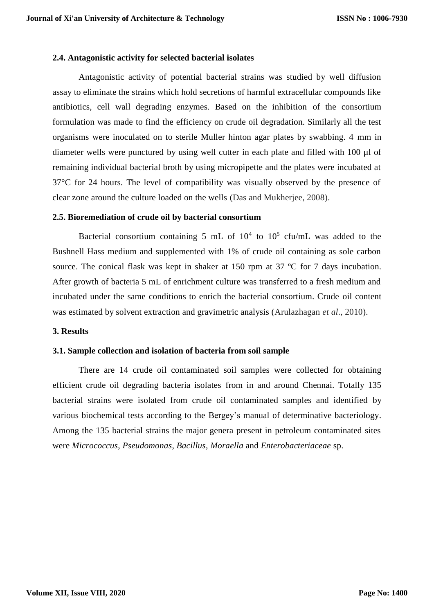#### **2.4. Antagonistic activity for selected bacterial isolates**

Antagonistic activity of potential bacterial strains was studied by well diffusion assay to eliminate the strains which hold secretions of harmful extracellular compounds like antibiotics, cell wall degrading enzymes. Based on the inhibition of the consortium formulation was made to find the efficiency on crude oil degradation. Similarly all the test organisms were inoculated on to sterile Muller hinton agar plates by swabbing. 4 mm in diameter wells were punctured by using well cutter in each plate and filled with 100 µl of remaining individual bacterial broth by using micropipette and the plates were incubated at 37°C for 24 hours. The level of compatibility was visually observed by the presence of clear zone around the culture loaded on the wells (Das and Mukherjee, 2008).

#### **2.5. Bioremediation of crude oil by bacterial consortium**

Bacterial consortium containing 5 mL of  $10^4$  to  $10^5$  cfu/mL was added to the Bushnell Hass medium and supplemented with 1% of crude oil containing as sole carbon source. The conical flask was kept in shaker at 150 rpm at 37 °C for 7 days incubation. After growth of bacteria 5 mL of enrichment culture was transferred to a fresh medium and incubated under the same conditions to enrich the bacterial consortium. Crude oil content was estimated by solvent extraction and gravimetric analysis (Arulazhagan *et al*., 2010).

#### **3. Results**

#### **3.1. Sample collection and isolation of bacteria from soil sample**

There are 14 crude oil contaminated soil samples were collected for obtaining efficient crude oil degrading bacteria isolates from in and around Chennai. Totally 135 bacterial strains were isolated from crude oil contaminated samples and identified by various biochemical tests according to the Bergey's manual of determinative bacteriology. Among the 135 bacterial strains the major genera present in petroleum contaminated sites were *Micrococcus*, *Pseudomonas*, *Bacillus*, *Moraella* and *Enterobacteriaceae* sp.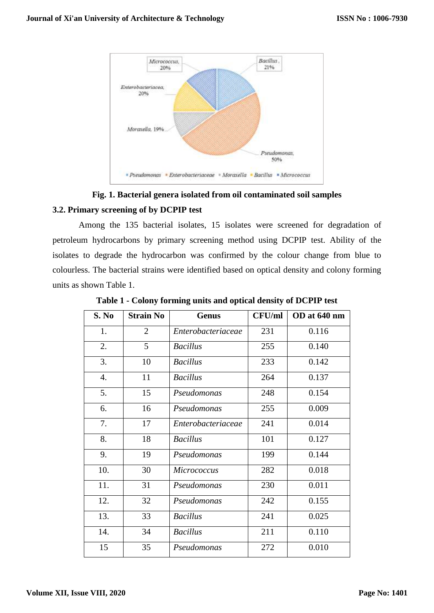

# **Fig. 1. Bacterial genera isolated from oil contaminated soil samples 3.2. Primary screening of by DCPIP test**

Among the 135 bacterial isolates, 15 isolates were screened for degradation of petroleum hydrocarbons by primary screening method using DCPIP test. Ability of the isolates to degrade the hydrocarbon was confirmed by the colour change from blue to colourless. The bacterial strains were identified based on optical density and colony forming units as shown Table 1.

| S. No | <b>Strain No</b> | <b>Genus</b>       | <b>CFU/ml</b> | OD at 640 nm |  |
|-------|------------------|--------------------|---------------|--------------|--|
| 1.    | $\overline{2}$   | Enterobacteriaceae | 231           | 0.116        |  |
| 2.    | 5                | <b>Bacillus</b>    | 255           | 0.140        |  |
| 3.    | 10               | <b>Bacillus</b>    | 233           | 0.142        |  |
| 4.    | 11               | <b>Bacillus</b>    | 264           | 0.137        |  |
| 5.    | 15               | Pseudomonas        | 248           | 0.154        |  |
| 6.    | 16               | Pseudomonas        | 255           | 0.009        |  |
| 7.    | 17               | Enterobacteriaceae | 241           | 0.014        |  |
| 8.    | 18               | <b>Bacillus</b>    | 101           | 0.127        |  |
| 9.    | 19               | Pseudomonas        | 199           | 0.144        |  |
| 10.   | 30               | <b>Micrococcus</b> | 282           | 0.018        |  |
| 11.   | 31               | Pseudomonas        | 230           | 0.011        |  |
| 12.   | 32               | Pseudomonas        | 242           | 0.155        |  |
| 13.   | 33               | <b>Bacillus</b>    | 241           | 0.025        |  |
| 14.   | 34               | <b>Bacillus</b>    | 211           | 0.110        |  |
| 15    | 35               | Pseudomonas        | 272           | 0.010        |  |

**Table 1 - Colony forming units and optical density of DCPIP test**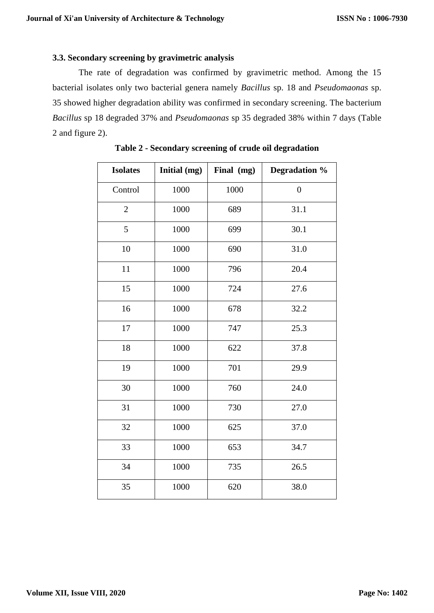### **3.3. Secondary screening by gravimetric analysis**

The rate of degradation was confirmed by gravimetric method. Among the 15 bacterial isolates only two bacterial genera namely *Bacillus* sp. 18 and *Pseudomaonas* sp. showed higher degradation ability was confirmed in secondary screening. The bacterium *Bacillus* sp 18 degraded 37% and *Pseudomaonas* sp 35 degraded 38% within 7 days (Table and figure 2).

| <b>Isolates</b> | Initial (mg) | Final (mg) | Degradation %    |  |
|-----------------|--------------|------------|------------------|--|
| Control         | 1000         | 1000       | $\boldsymbol{0}$ |  |
| $\overline{2}$  | 1000         | 689        | 31.1             |  |
| 5               | 1000         | 699        | 30.1             |  |
| 10              | 1000         | 690        | 31.0             |  |
| 11              | 1000         | 796        | 20.4             |  |
| 15              | 1000         | 724        | 27.6             |  |
| 16              | 1000         | 678        | 32.2             |  |
| 17              | 1000         | 747        | 25.3             |  |
| 18              | 1000         | 622        | 37.8             |  |
| 19              | 1000         | 701        | 29.9             |  |
| 30              | 1000         | 760        | 24.0             |  |
| 31              | 1000         | 730        | 27.0             |  |
| 32              | 1000         | 625        | 37.0             |  |
| 33              | 1000         | 653        | 34.7             |  |
| 34              | 1000         | 735        | 26.5             |  |
| 35              | 1000         | 620        | 38.0             |  |

**Table 2 - Secondary screening of crude oil degradation**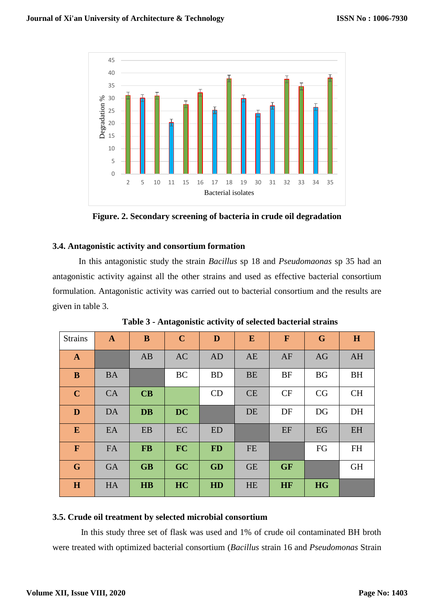

**Figure. 2. Secondary screening of bacteria in crude oil degradation**

## **3.4. Antagonistic activity and consortium formation**

In this antagonistic study the strain *Bacillus* sp 18 and *Pseudomaonas* sp 35 had an antagonistic activity against all the other strains and used as effective bacterial consortium formulation. Antagonistic activity was carried out to bacterial consortium and the results are given in table 3.

| <b>Strains</b> | $\mathbf{A}$ | $\bf{B}$  | $\mathbf C$ | D         | E         | $\mathbf{F}$ | G         | H         |
|----------------|--------------|-----------|-------------|-----------|-----------|--------------|-----------|-----------|
| $\mathbf{A}$   |              | AB        | <b>AC</b>   | <b>AD</b> | AE        | AF           | AG        | AH        |
| $\bf{B}$       | <b>BA</b>    |           | <b>BC</b>   | <b>BD</b> | <b>BE</b> | <b>BF</b>    | <b>BG</b> | <b>BH</b> |
| $\mathbf C$    | <b>CA</b>    | CB        |             | CD        | CE        | CF           | CG        | <b>CH</b> |
| D              | <b>DA</b>    | <b>DB</b> | <b>DC</b>   |           | DE        | DF           | DG        | DH        |
| ${\bf E}$      | EA           | EB        | EC          | <b>ED</b> |           | EF           | EG        | EH        |
| $\mathbf F$    | FA           | <b>FB</b> | <b>FC</b>   | <b>FD</b> | <b>FE</b> |              | FG        | <b>FH</b> |
| G              | <b>GA</b>    | <b>GB</b> | GC          | <b>GD</b> | <b>GE</b> | <b>GF</b>    |           | <b>GH</b> |
| H              | HA           | <b>HB</b> | HC          | HD        | HE        | HF           | <b>HG</b> |           |

**Table 3 - Antagonistic activity of selected bacterial strains**

#### **3.5. Crude oil treatment by selected microbial consortium**

In this study three set of flask was used and 1% of crude oil contaminated BH broth were treated with optimized bacterial consortium (*Bacillus* strain 16 and *Pseudomonas* Strain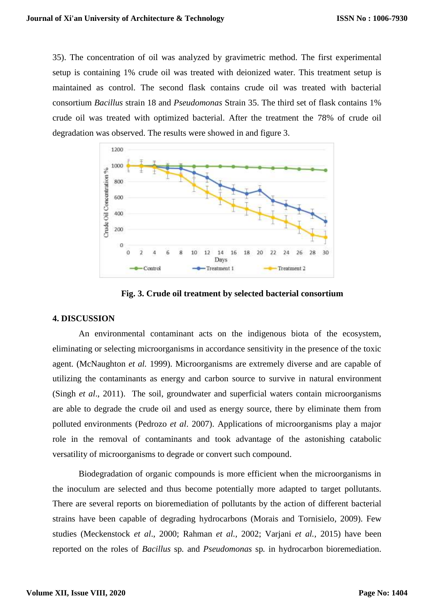35). The concentration of oil was analyzed by gravimetric method. The first experimental setup is containing 1% crude oil was treated with deionized water. This treatment setup is maintained as control. The second flask contains crude oil was treated with bacterial consortium *Bacillus* strain 18 and *Pseudomonas* Strain 35. The third set of flask contains 1% crude oil was treated with optimized bacterial. After the treatment the 78% of crude oil degradation was observed. The results were showed in and figure 3.



 **Fig. 3. Crude oil treatment by selected bacterial consortium**

#### **4. DISCUSSION**

An environmental contaminant acts on the indigenous biota of the ecosystem, eliminating or selecting microorganisms in accordance sensitivity in the presence of the toxic agent. (McNaughton *et al.* 1999). Microorganisms are extremely diverse and are capable of utilizing the contaminants as energy and carbon source to survive in natural environment (Singh *et al*., 2011). The soil, groundwater and superficial waters contain microorganisms are able to degrade the crude oil and used as energy source, there by eliminate them from polluted environments (Pedrozo *et al*. 2007). Applications of microorganisms play a major role in the removal of contaminants and took advantage of the astonishing catabolic versatility of microorganisms to degrade or convert such compound.

Biodegradation of organic compounds is more efficient when the microorganisms in the inoculum are selected and thus become potentially more adapted to target pollutants. There are several reports on bioremediation of pollutants by the action of different bacterial strains have been capable of degrading hydrocarbons (Morais and Tornisielo, 2009). Few studies (Meckenstock *et al*., 2000; Rahman *et al.,* 2002; Varjani *et al.,* 2015) have been reported on the roles of *Bacillus* sp*.* and *Pseudomonas* sp*.* in hydrocarbon bioremediation.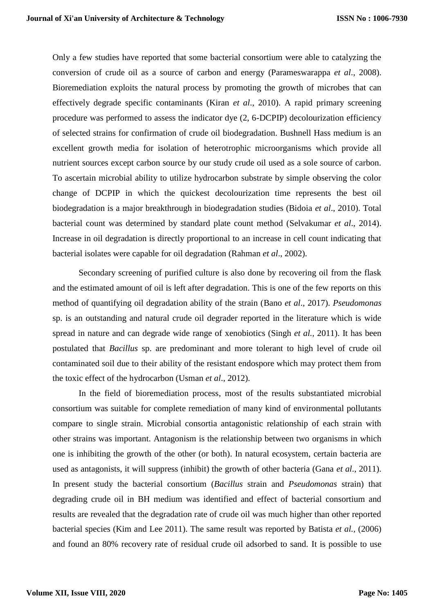Only a few studies have reported that some bacterial consortium were able to catalyzing the conversion of crude oil as a source of carbon and energy (Parameswarappa *et al*., 2008). Bioremediation exploits the natural process by promoting the growth of microbes that can effectively degrade specific contaminants (Kiran *et al*., 2010). A rapid primary screening procedure was performed to assess the indicator dye (2, 6-DCPIP) decolourization efficiency of selected strains for confirmation of crude oil biodegradation. Bushnell Hass medium is an excellent growth media for isolation of heterotrophic microorganisms which provide all nutrient sources except carbon source by our study crude oil used as a sole source of carbon. To ascertain microbial ability to utilize hydrocarbon substrate by simple observing the color change of DCPIP in which the quickest decolourization time represents the best oil biodegradation is a major breakthrough in biodegradation studies (Bidoia *et al*., 2010). Total bacterial count was determined by standard plate count method (Selvakumar *et al*., 2014). Increase in oil degradation is directly proportional to an increase in cell count indicating that bacterial isolates were capable for oil degradation (Rahman *et al*., 2002).

Secondary screening of purified culture is also done by recovering oil from the flask and the estimated amount of oil is left after degradation. This is one of the few reports on this method of quantifying oil degradation ability of the strain (Bano *et al*., 2017). *Pseudomonas*  sp. is an outstanding and natural crude oil degrader reported in the literature which is wide spread in nature and can degrade wide range of xenobiotics (Singh *et al.,* 2011). It has been postulated that *Bacillus* sp. are predominant and more tolerant to high level of crude oil contaminated soil due to their ability of the resistant endospore which may protect them from the toxic effect of the hydrocarbon (Usman *et al*., 2012).

In the field of bioremediation process, most of the results substantiated microbial consortium was suitable for complete remediation of many kind of environmental pollutants compare to single strain. Microbial consortia antagonistic relationship of each strain with other strains was important. Antagonism is the relationship between two organisms in which one is inhibiting the growth of the other (or both). In natural ecosystem, certain bacteria are used as antagonists, it will suppress (inhibit) the growth of other bacteria (Gana *et al*., 2011). In present study the bacterial consortium (*Bacillus* strain and *Pseudomonas* strain) that degrading crude oil in BH medium was identified and effect of bacterial consortium and results are revealed that the degradation rate of crude oil was much higher than other reported bacterial species (Kim and Lee 2011). The same result was reported by Batista *et al.,* (2006) and found an 80% recovery rate of residual crude oil adsorbed to sand. It is possible to use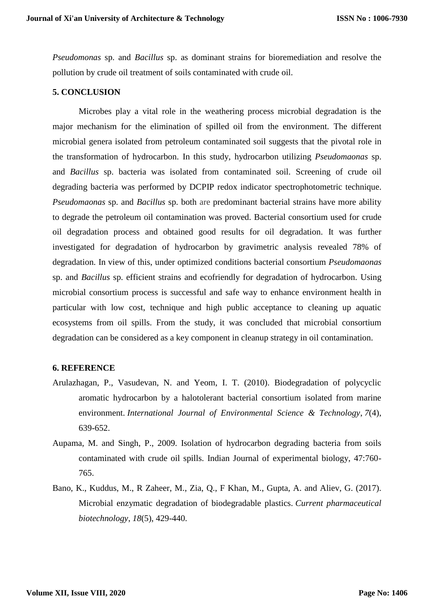*Pseudomonas* sp. and *Bacillus* sp. as dominant strains for bioremediation and resolve the pollution by crude oil treatment of soils contaminated with crude oil.

#### **5. CONCLUSION**

Microbes play a vital role in the weathering process microbial degradation is the major mechanism for the elimination of spilled oil from the environment. The different microbial genera isolated from petroleum contaminated soil suggests that the pivotal role in the transformation of hydrocarbon. In this study, hydrocarbon utilizing *Pseudomaonas* sp. and *Bacillus* sp. bacteria was isolated from contaminated soil. Screening of crude oil degrading bacteria was performed by DCPIP redox indicator spectrophotometric technique. *Pseudomaonas* sp. and *Bacillus* sp. both are predominant bacterial strains have more ability to degrade the petroleum oil contamination was proved. Bacterial consortium used for crude oil degradation process and obtained good results for oil degradation. It was further investigated for degradation of hydrocarbon by gravimetric analysis revealed 78% of degradation. In view of this, under optimized conditions bacterial consortium *Pseudomaonas*  sp. and *Bacillus* sp. efficient strains and ecofriendly for degradation of hydrocarbon. Using microbial consortium process is successful and safe way to enhance environment health in particular with low cost, technique and high public acceptance to cleaning up aquatic ecosystems from oil spills. From the study, it was concluded that microbial consortium degradation can be considered as a key component in cleanup strategy in oil contamination.

#### **6. REFERENCE**

- Arulazhagan, P., Vasudevan, N. and Yeom, I. T. (2010). Biodegradation of polycyclic aromatic hydrocarbon by a halotolerant bacterial consortium isolated from marine environment. *International Journal of Environmental Science & Technology*, *7*(4), 639-652.
- Aupama, M. and Singh, P., 2009. Isolation of hydrocarbon degrading bacteria from soils contaminated with crude oil spills. Indian Journal of experimental biology, 47:760- 765.
- Bano, K., Kuddus, M., R Zaheer, M., Zia, Q., F Khan, M., Gupta, A. and Aliev, G. (2017). Microbial enzymatic degradation of biodegradable plastics. *Current pharmaceutical biotechnology*, *18*(5), 429-440.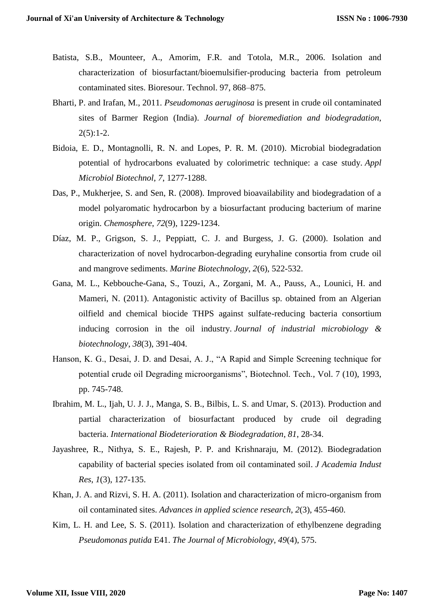- Batista, S.B., Mounteer, A., Amorim, F.R. and Totola, M.R., 2006. Isolation and characterization of biosurfactant/bioemulsifier-producing bacteria from petroleum contaminated sites. Bioresour. Technol. 97, 868–875.
- Bharti, P. and Irafan, M., 2011. *Pseudomonas aeruginosa* is present in crude oil contaminated sites of Barmer Region (India). *Journal of bioremediation and biodegradation*,  $2(5):1-2.$
- Bidoia, E. D., Montagnolli, R. N. and Lopes, P. R. M. (2010). Microbial biodegradation potential of hydrocarbons evaluated by colorimetric technique: a case study. *Appl Microbiol Biotechnol*, *7*, 1277-1288.
- Das, P., Mukherjee, S. and Sen, R. (2008). Improved bioavailability and biodegradation of a model polyaromatic hydrocarbon by a biosurfactant producing bacterium of marine origin. *Chemosphere*, *72*(9), 1229-1234.
- Díaz, M. P., Grigson, S. J., Peppiatt, C. J. and Burgess, J. G. (2000). Isolation and characterization of novel hydrocarbon-degrading euryhaline consortia from crude oil and mangrove sediments. *Marine Biotechnology*, *2*(6), 522-532.
- Gana, M. L., Kebbouche-Gana, S., Touzi, A., Zorgani, M. A., Pauss, A., Lounici, H. and Mameri, N. (2011). Antagonistic activity of Bacillus sp. obtained from an Algerian oilfield and chemical biocide THPS against sulfate-reducing bacteria consortium inducing corrosion in the oil industry. *Journal of industrial microbiology & biotechnology*, *38*(3), 391-404.
- Hanson, K. G., Desai, J. D. and Desai, A. J., "A Rapid and Simple Screening technique for potential crude oil Degrading microorganisms", Biotechnol. Tech., Vol. 7 (10), 1993, pp. 745-748.
- Ibrahim, M. L., Ijah, U. J. J., Manga, S. B., Bilbis, L. S. and Umar, S. (2013). Production and partial characterization of biosurfactant produced by crude oil degrading bacteria. *International Biodeterioration & Biodegradation*, *81*, 28-34.
- Jayashree, R., Nithya, S. E., Rajesh, P. P. and Krishnaraju, M. (2012). Biodegradation capability of bacterial species isolated from oil contaminated soil. *J Academia Indust Res*, *1*(3), 127-135.
- Khan, J. A. and Rizvi, S. H. A. (2011). Isolation and characterization of micro-organism from oil contaminated sites. *Advances in applied science research*, *2*(3), 455-460.
- Kim, L. H. and Lee, S. S. (2011). Isolation and characterization of ethylbenzene degrading *Pseudomonas putida* E41. *The Journal of Microbiology*, *49*(4), 575.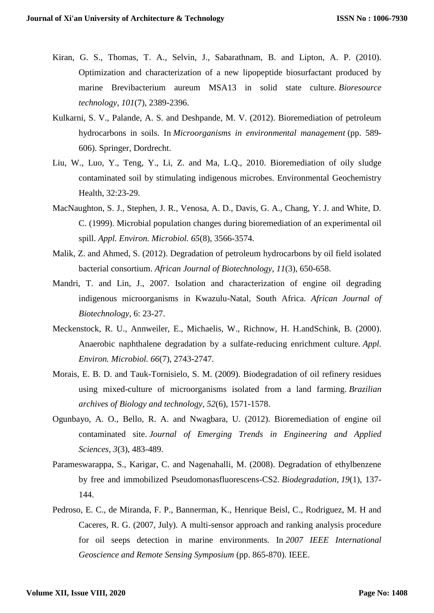- Kiran, G. S., Thomas, T. A., Selvin, J., Sabarathnam, B. and Lipton, A. P. (2010). Optimization and characterization of a new lipopeptide biosurfactant produced by marine Brevibacterium aureum MSA13 in solid state culture. *Bioresource technology*, *101*(7), 2389-2396.
- Kulkarni, S. V., Palande, A. S. and Deshpande, M. V. (2012). Bioremediation of petroleum hydrocarbons in soils. In *Microorganisms in environmental management* (pp. 589- 606). Springer, Dordrecht.
- Liu, W., Luo, Y., Teng, Y., Li, Z. and Ma, L.Q., 2010. Bioremediation of oily sludge contaminated soil by stimulating indigenous microbes. Environmental Geochemistry Health, 32:23-29.
- MacNaughton, S. J., Stephen, J. R., Venosa, A. D., Davis, G. A., Chang, Y. J. and White, D. C. (1999). Microbial population changes during bioremediation of an experimental oil spill. *Appl. Environ. Microbiol. 65*(8), 3566-3574.
- Malik, Z. and Ahmed, S. (2012). Degradation of petroleum hydrocarbons by oil field isolated bacterial consortium. *African Journal of Biotechnology*, *11*(3), 650-658.
- Mandri, T. and Lin, J., 2007. Isolation and characterization of engine oil degrading indigenous microorganisms in Kwazulu-Natal, South Africa. *African Journal of Biotechnology*, 6: 23-27.
- Meckenstock, R. U., Annweiler, E., Michaelis, W., Richnow, H. H.andSchink, B. (2000). Anaerobic naphthalene degradation by a sulfate-reducing enrichment culture. *Appl. Environ. Microbiol. 66*(7), 2743-2747.
- Morais, E. B. D. and Tauk-Tornisielo, S. M. (2009). Biodegradation of oil refinery residues using mixed-culture of microorganisms isolated from a land farming. *Brazilian archives of Biology and technology*, *52*(6), 1571-1578.
- Ogunbayo, A. O., Bello, R. A. and Nwagbara, U. (2012). Bioremediation of engine oil contaminated site. *Journal of Emerging Trends in Engineering and Applied Sciences*, *3*(3), 483-489.
- Parameswarappa, S., Karigar, C. and Nagenahalli, M. (2008). Degradation of ethylbenzene by free and immobilized Pseudomonasfluorescens-CS2. *Biodegradation*, *19*(1), 137- 144.
- Pedroso, E. C., de Miranda, F. P., Bannerman, K., Henrique Beisl, C., Rodriguez, M. H and Caceres, R. G. (2007, July). A multi-sensor approach and ranking analysis procedure for oil seeps detection in marine environments. In *2007 IEEE International Geoscience and Remote Sensing Symposium* (pp. 865-870). IEEE.